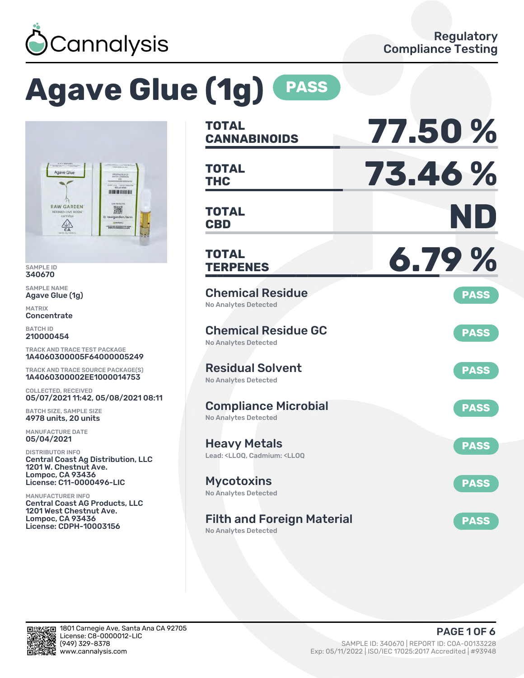

# **Agave Glue (1g) PASS**



SAMPLE ID 340670

SAMPLE NAME Agave Glue (1g)

MATRIX **Concentrate** 

BATCH ID 210000454

TRACK AND TRACE TEST PACKAGE 1A4060300005F64000005249

TRACK AND TRACE SOURCE PACKAGE(S) 1A4060300002EE1000014753

COLLECTED, RECEIVED 05/07/2021 11:42, 05/08/2021 08:11

BATCH SIZE, SAMPLE SIZE 4978 units, 20 units

MANUFACTURE DATE 05/04/2021

DISTRIBUTOR INFO Central Coast Ag Distribution, LLC 1201 W. Chestnut Ave. Lompoc, CA 93436 License: C11-0000496-LIC

MANUFACTURER INFO Central Coast AG Products, LLC 1201 West Chestnut Ave. Lompoc, CA 93436 License: CDPH-10003156

| <b>TOTAL</b><br><b>CANNABINOIDS</b>                                                          | 77.50%      |
|----------------------------------------------------------------------------------------------|-------------|
| <b>TOTAL</b><br><b>THC</b>                                                                   | 73.46%      |
| <b>TOTAL</b><br><b>CBD</b>                                                                   | ND          |
| <b>TOTAL</b><br><b>TERPENES</b>                                                              | 6.79%       |
| <b>Chemical Residue</b><br><b>No Analytes Detected</b>                                       | <b>PASS</b> |
| <b>Chemical Residue GC</b><br><b>No Analytes Detected</b>                                    | <b>PASS</b> |
| <b>Residual Solvent</b><br><b>No Analytes Detected</b>                                       | <b>PASS</b> |
| <b>Compliance Microbial</b><br><b>No Analytes Detected</b>                                   | <b>PASS</b> |
| <b>Heavy Metals</b><br>Lead: <ll00, <ll00<="" cadmium:="" td=""><td><b>PASS</b></td></ll00,> | <b>PASS</b> |
| <b>Mycotoxins</b><br>No Analytes Detected                                                    | <b>PASS</b> |
| <b>Filth and Foreign Material</b>                                                            | <b>PASS</b> |

No Analytes Detected

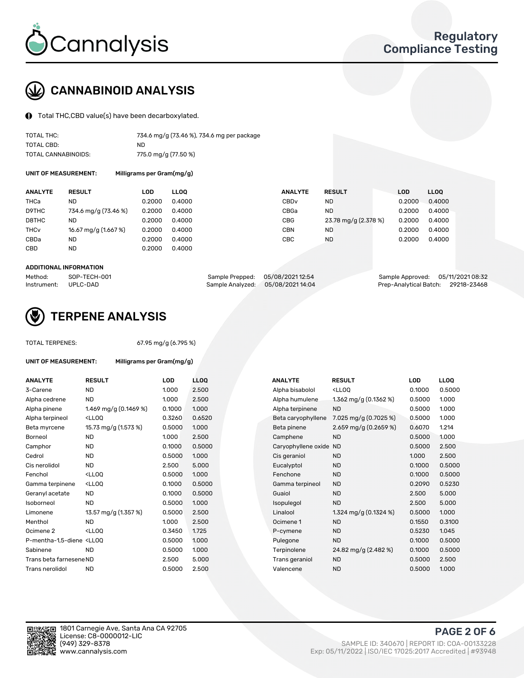

## CANNABINOID ANALYSIS

Total THC,CBD value(s) have been decarboxylated.

| TOTAL THC:          | 734.6 mg/g (73.46 %), 734.6 mg per package |
|---------------------|--------------------------------------------|
| TOTAL CBD:          | ND.                                        |
| TOTAL CANNABINOIDS: | 775.0 mg/g (77.50 %)                       |

UNIT OF MEASUREMENT: Milligrams per Gram(mg/g)

| <b>RESULT</b>        |                                                                 |                                                                         |                | <b>LOD</b>                            | <b>LLOO</b> |
|----------------------|-----------------------------------------------------------------|-------------------------------------------------------------------------|----------------|---------------------------------------|-------------|
| ND                   |                                                                 | CBDv                                                                    | <b>ND</b>      | 0.2000                                | 0.4000      |
| 734.6 mg/g (73.46 %) |                                                                 | CBGa                                                                    | <b>ND</b>      | 0.2000                                | 0.4000      |
| ND                   |                                                                 | CBG                                                                     |                | 0.2000                                | 0.4000      |
| 16.67 mg/g (1.667 %) |                                                                 | CBN                                                                     | <b>ND</b>      | 0.2000                                | 0.4000      |
| ND                   |                                                                 | CBC                                                                     | <b>ND</b>      | 0.2000                                | 0.4000      |
| ND                   |                                                                 |                                                                         |                |                                       |             |
|                      | LOD<br>0.2000<br>0.2000<br>0.2000<br>0.2000<br>0.2000<br>0.2000 | <b>LLOO</b><br>0.4000<br>0.4000<br>0.4000<br>0.4000<br>0.4000<br>0.4000 | <b>ANALYTE</b> | <b>RESULT</b><br>23.78 mg/g (2.378 %) |             |

#### ADDITIONAL INFORMATION

| Method:              | SOP-TECH-001 | Sample Prepped: 05/08/2021 12:54  | Sample Approved: 05/11/2021 08:32  |  |
|----------------------|--------------|-----------------------------------|------------------------------------|--|
| Instrument: UPLC-DAD |              | Sample Analyzed: 05/08/2021 14:04 | Prep-Analytical Batch: 29218-23468 |  |



## TERPENE ANALYSIS

| <b>TOTAL TERPENES:</b>                                                        |                                                    | 67.95 mg/g (6.795 %) |            |  |  |  |  |  |
|-------------------------------------------------------------------------------|----------------------------------------------------|----------------------|------------|--|--|--|--|--|
| UNIT OF MEASUREMENT:                                                          | Milligrams per Gram(mg/g)                          |                      |            |  |  |  |  |  |
| <b>ANALYTE</b>                                                                | <b>RESULT</b>                                      | <b>LOD</b>           | <b>LLO</b> |  |  |  |  |  |
| 3-Carene                                                                      | <b>ND</b>                                          | 1.000                | 2.50       |  |  |  |  |  |
| Alpha cedrene                                                                 | <b>ND</b>                                          | 1.000                | 2.50       |  |  |  |  |  |
| Alpha pinene                                                                  | 1.469 mg/g $(0.1469\%)$                            | 0.1000               | 1.00       |  |  |  |  |  |
| Alpha terpineol                                                               | <lloo< td=""><td>0.3260</td><td>0.65</td></lloo<>  | 0.3260               | 0.65       |  |  |  |  |  |
| Beta myrcene                                                                  | 15.73 mg/g (1.573 %)                               | 0.5000               | 1.00       |  |  |  |  |  |
| Borneol                                                                       | <b>ND</b>                                          | 1.000                | 2.50       |  |  |  |  |  |
| Camphor                                                                       | <b>ND</b>                                          | 0.1000               | 0.50       |  |  |  |  |  |
| Cedrol                                                                        | <b>ND</b>                                          | 0.5000               | 1.00       |  |  |  |  |  |
| Cis nerolidol                                                                 | <b>ND</b>                                          | 2.500                | 5.00       |  |  |  |  |  |
| Fenchol                                                                       | <lloo< td=""><td>0.5000</td><td>1.00</td></lloo<>  | 0.5000               | 1.00       |  |  |  |  |  |
| Gamma terpinene                                                               | $<$ LLOO                                           | 0.1000               | 0.50       |  |  |  |  |  |
| Geranyl acetate                                                               | ND                                                 | 0.1000               | 0.50       |  |  |  |  |  |
| Isoborneol                                                                    | <b>ND</b>                                          | 0.5000               | 1.00       |  |  |  |  |  |
| Limonene                                                                      | 13.57 mg/g (1.357 %)                               | 0.5000               | 2.50       |  |  |  |  |  |
| Menthol                                                                       | <b>ND</b>                                          | 1.000                | 2.50       |  |  |  |  |  |
| Ocimene <sub>2</sub>                                                          | <lloo< td=""><td>0.3450</td><td>1.72!</td></lloo<> | 0.3450               | 1.72!      |  |  |  |  |  |
| P-mentha-1,5-diene <ll0q< td=""><td></td><td>0.5000</td><td>1.00</td></ll0q<> |                                                    | 0.5000               | 1.00       |  |  |  |  |  |
| Sabinene                                                                      | <b>ND</b>                                          | 0.5000               | 1.00       |  |  |  |  |  |
| Trans beta farnesene ND                                                       |                                                    | 2.500                | 5.00       |  |  |  |  |  |
| Trans nerolidol                                                               | <b>ND</b>                                          | 0.5000               | 2.50       |  |  |  |  |  |
|                                                                               |                                                    |                      |            |  |  |  |  |  |

| <b>ANALYTE</b>                                                                                                                                  | <b>RESULT</b>                                                                                                                             | <b>LOD</b> | <b>LLOQ</b> | <b>ANALYTE</b>      | <b>RESULT</b>                                       | <b>LOD</b> | <b>LLOQ</b> |
|-------------------------------------------------------------------------------------------------------------------------------------------------|-------------------------------------------------------------------------------------------------------------------------------------------|------------|-------------|---------------------|-----------------------------------------------------|------------|-------------|
| 3-Carene                                                                                                                                        | <b>ND</b>                                                                                                                                 | 1.000      | 2.500       | Alpha bisabolol     | <ll0q< td=""><td>0.1000</td><td>0.5000</td></ll0q<> | 0.1000     | 0.5000      |
| Alpha cedrene                                                                                                                                   | <b>ND</b>                                                                                                                                 | 1.000      | 2.500       | Alpha humulene      | 1.362 mg/g $(0.1362\%)$                             | 0.5000     | 1.000       |
| Alpha pinene                                                                                                                                    | 1.469 mg/g (0.1469 %)                                                                                                                     | 0.1000     | 1.000       | Alpha terpinene     | <b>ND</b>                                           | 0.5000     | 1.000       |
| Alpha terpineol                                                                                                                                 | <lloq< td=""><td>0.3260</td><td>0.6520</td><td>Beta caryophyllene</td><td>7.025 mg/g (0.7025 %)</td><td>0.5000</td><td>1.000</td></lloq<> | 0.3260     | 0.6520      | Beta caryophyllene  | 7.025 mg/g (0.7025 %)                               | 0.5000     | 1.000       |
| Beta myrcene                                                                                                                                    | 15.73 mg/g (1.573 %)                                                                                                                      | 0.5000     | 1.000       | Beta pinene         | 2.659 mg/g $(0.2659\%)$                             | 0.6070     | 1.214       |
| Borneol                                                                                                                                         | <b>ND</b>                                                                                                                                 | 1.000      | 2.500       | Camphene            | <b>ND</b>                                           | 0.5000     | 1.000       |
| Camphor                                                                                                                                         | <b>ND</b>                                                                                                                                 | 0.1000     | 0.5000      | Caryophyllene oxide | <b>ND</b>                                           | 0.5000     | 2.500       |
| Cedrol                                                                                                                                          | <b>ND</b>                                                                                                                                 | 0.5000     | 1.000       | Cis geraniol        | <b>ND</b>                                           | 1.000      | 2.500       |
| Cis nerolidol                                                                                                                                   | <b>ND</b>                                                                                                                                 | 2.500      | 5.000       | Eucalyptol          | <b>ND</b>                                           | 0.1000     | 0.5000      |
| Fenchol                                                                                                                                         | <lloq< td=""><td>0.5000</td><td>1.000</td><td>Fenchone</td><td><b>ND</b></td><td>0.1000</td><td>0.5000</td></lloq<>                       | 0.5000     | 1.000       | Fenchone            | <b>ND</b>                                           | 0.1000     | 0.5000      |
| Gamma terpinene                                                                                                                                 | <lloq< td=""><td>0.1000</td><td>0.5000</td><td>Gamma terpineol</td><td><b>ND</b></td><td>0.2090</td><td>0.5230</td></lloq<>               | 0.1000     | 0.5000      | Gamma terpineol     | <b>ND</b>                                           | 0.2090     | 0.5230      |
| Geranyl acetate                                                                                                                                 | <b>ND</b>                                                                                                                                 | 0.1000     | 0.5000      | Guaiol              | <b>ND</b>                                           | 2.500      | 5.000       |
| Isoborneol                                                                                                                                      | <b>ND</b>                                                                                                                                 | 0.5000     | 1.000       | Isopulegol          | <b>ND</b>                                           | 2.500      | 5.000       |
| Limonene                                                                                                                                        | 13.57 mg/g (1.357 %)                                                                                                                      | 0.5000     | 2.500       | Linalool            | 1.324 mg/g $(0.1324\%)$                             | 0.5000     | 1.000       |
| Menthol                                                                                                                                         | <b>ND</b>                                                                                                                                 | 1.000      | 2.500       | Ocimene 1           | <b>ND</b>                                           | 0.1550     | 0.3100      |
| Ocimene 2                                                                                                                                       | <lloq< td=""><td>0.3450</td><td>1.725</td><td>P-cymene</td><td><b>ND</b></td><td>0.5230</td><td>1.045</td></lloq<>                        | 0.3450     | 1.725       | P-cymene            | <b>ND</b>                                           | 0.5230     | 1.045       |
| P-mentha-1,5-diene <lloq< td=""><td></td><td>0.5000</td><td>1.000</td><td>Pulegone</td><td><b>ND</b></td><td>0.1000</td><td>0.5000</td></lloq<> |                                                                                                                                           | 0.5000     | 1.000       | Pulegone            | <b>ND</b>                                           | 0.1000     | 0.5000      |
| Sabinene                                                                                                                                        | <b>ND</b>                                                                                                                                 | 0.5000     | 1.000       | Terpinolene         | 24.82 mg/g (2.482 %)                                | 0.1000     | 0.5000      |
| Trans beta farnesene ND                                                                                                                         |                                                                                                                                           | 2.500      | 5.000       | Trans geraniol      | <b>ND</b>                                           | 0.5000     | 2.500       |
| Trans nerolidol                                                                                                                                 | <b>ND</b>                                                                                                                                 | 0.5000     | 2.500       | Valencene           | <b>ND</b>                                           | 0.5000     | 1.000       |
|                                                                                                                                                 |                                                                                                                                           |            |             |                     |                                                     |            |             |

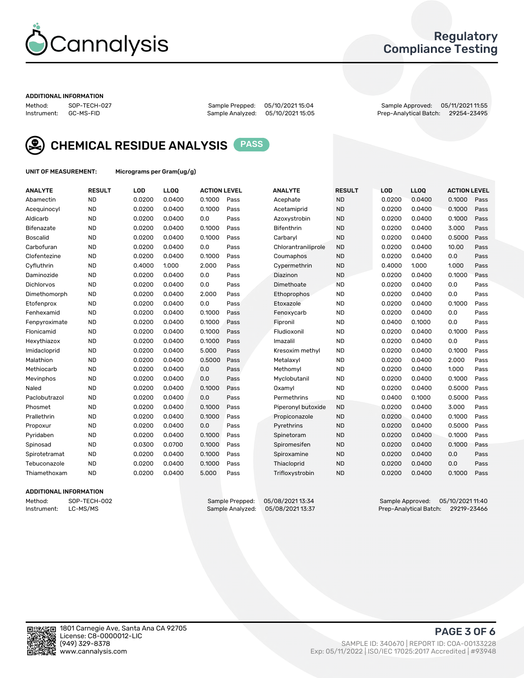

## Regulatory Compliance Testing

#### ADDITIONAL INFORMATION

Method: SOP-TECH-027 Sample Prepped: 05/10/2021 15:04 Sample Approved: 05/11/2021 11:55 Prep-Analytical Batch: 29254-23495



CHEMICAL RESIDUE ANALYSIS PASS

UNIT OF MEASUREMENT: Micrograms per Gram(ug/g)

| <b>ANALYTE</b>    | <b>RESULT</b> | LOD    | LL <sub>OO</sub> | <b>ACTION LEVEL</b> |      | <b>ANALYTE</b>      | <b>RESULT</b> | LOD    | <b>LLOO</b> | <b>ACTION LEVEL</b> |      |
|-------------------|---------------|--------|------------------|---------------------|------|---------------------|---------------|--------|-------------|---------------------|------|
| Abamectin         | <b>ND</b>     | 0.0200 | 0.0400           | 0.1000              | Pass | Acephate            | <b>ND</b>     | 0.0200 | 0.0400      | 0.1000              | Pass |
| Acequinocyl       | <b>ND</b>     | 0.0200 | 0.0400           | 0.1000              | Pass | Acetamiprid         | <b>ND</b>     | 0.0200 | 0.0400      | 0.1000              | Pass |
| Aldicarb          | <b>ND</b>     | 0.0200 | 0.0400           | 0.0                 | Pass | Azoxystrobin        | <b>ND</b>     | 0.0200 | 0.0400      | 0.1000              | Pass |
| Bifenazate        | <b>ND</b>     | 0.0200 | 0.0400           | 0.1000              | Pass | <b>Bifenthrin</b>   | <b>ND</b>     | 0.0200 | 0.0400      | 3.000               | Pass |
| <b>Boscalid</b>   | <b>ND</b>     | 0.0200 | 0.0400           | 0.1000              | Pass | Carbaryl            | <b>ND</b>     | 0.0200 | 0.0400      | 0.5000              | Pass |
| Carbofuran        | <b>ND</b>     | 0.0200 | 0.0400           | 0.0                 | Pass | Chlorantraniliprole | <b>ND</b>     | 0.0200 | 0.0400      | 10.00               | Pass |
| Clofentezine      | <b>ND</b>     | 0.0200 | 0.0400           | 0.1000              | Pass | Coumaphos           | <b>ND</b>     | 0.0200 | 0.0400      | 0.0                 | Pass |
| Cyfluthrin        | <b>ND</b>     | 0.4000 | 1.000            | 2.000               | Pass | Cypermethrin        | <b>ND</b>     | 0.4000 | 1.000       | 1.000               | Pass |
| Daminozide        | <b>ND</b>     | 0.0200 | 0.0400           | 0.0                 | Pass | Diazinon            | <b>ND</b>     | 0.0200 | 0.0400      | 0.1000              | Pass |
| <b>Dichlorvos</b> | <b>ND</b>     | 0.0200 | 0.0400           | 0.0                 | Pass | Dimethoate          | <b>ND</b>     | 0.0200 | 0.0400      | 0.0                 | Pass |
| Dimethomorph      | <b>ND</b>     | 0.0200 | 0.0400           | 2.000               | Pass | <b>Ethoprophos</b>  | <b>ND</b>     | 0.0200 | 0.0400      | 0.0                 | Pass |
| Etofenprox        | <b>ND</b>     | 0.0200 | 0.0400           | 0.0                 | Pass | Etoxazole           | <b>ND</b>     | 0.0200 | 0.0400      | 0.1000              | Pass |
| Fenhexamid        | <b>ND</b>     | 0.0200 | 0.0400           | 0.1000              | Pass | Fenoxycarb          | <b>ND</b>     | 0.0200 | 0.0400      | 0.0                 | Pass |
| Fenpyroximate     | <b>ND</b>     | 0.0200 | 0.0400           | 0.1000              | Pass | Fipronil            | <b>ND</b>     | 0.0400 | 0.1000      | 0.0                 | Pass |
| Flonicamid        | <b>ND</b>     | 0.0200 | 0.0400           | 0.1000              | Pass | Fludioxonil         | <b>ND</b>     | 0.0200 | 0.0400      | 0.1000              | Pass |
| Hexythiazox       | <b>ND</b>     | 0.0200 | 0.0400           | 0.1000              | Pass | Imazalil            | <b>ND</b>     | 0.0200 | 0.0400      | 0.0                 | Pass |
| Imidacloprid      | <b>ND</b>     | 0.0200 | 0.0400           | 5.000               | Pass | Kresoxim methyl     | <b>ND</b>     | 0.0200 | 0.0400      | 0.1000              | Pass |
| Malathion         | <b>ND</b>     | 0.0200 | 0.0400           | 0.5000              | Pass | Metalaxyl           | <b>ND</b>     | 0.0200 | 0.0400      | 2.000               | Pass |
| Methiocarb        | <b>ND</b>     | 0.0200 | 0.0400           | 0.0                 | Pass | Methomyl            | <b>ND</b>     | 0.0200 | 0.0400      | 1.000               | Pass |
| Mevinphos         | <b>ND</b>     | 0.0200 | 0.0400           | 0.0                 | Pass | Myclobutanil        | <b>ND</b>     | 0.0200 | 0.0400      | 0.1000              | Pass |
| Naled             | <b>ND</b>     | 0.0200 | 0.0400           | 0.1000              | Pass | Oxamyl              | <b>ND</b>     | 0.0200 | 0.0400      | 0.5000              | Pass |
| Paclobutrazol     | <b>ND</b>     | 0.0200 | 0.0400           | 0.0                 | Pass | Permethrins         | <b>ND</b>     | 0.0400 | 0.1000      | 0.5000              | Pass |
| Phosmet           | <b>ND</b>     | 0.0200 | 0.0400           | 0.1000              | Pass | Piperonyl butoxide  | <b>ND</b>     | 0.0200 | 0.0400      | 3.000               | Pass |
| Prallethrin       | <b>ND</b>     | 0.0200 | 0.0400           | 0.1000              | Pass | Propiconazole       | <b>ND</b>     | 0.0200 | 0.0400      | 0.1000              | Pass |
| Propoxur          | <b>ND</b>     | 0.0200 | 0.0400           | 0.0                 | Pass | Pyrethrins          | <b>ND</b>     | 0.0200 | 0.0400      | 0.5000              | Pass |
| Pyridaben         | <b>ND</b>     | 0.0200 | 0.0400           | 0.1000              | Pass | Spinetoram          | <b>ND</b>     | 0.0200 | 0.0400      | 0.1000              | Pass |
| Spinosad          | <b>ND</b>     | 0.0300 | 0.0700           | 0.1000              | Pass | Spiromesifen        | <b>ND</b>     | 0.0200 | 0.0400      | 0.1000              | Pass |
| Spirotetramat     | <b>ND</b>     | 0.0200 | 0.0400           | 0.1000              | Pass | Spiroxamine         | <b>ND</b>     | 0.0200 | 0.0400      | 0.0                 | Pass |
| Tebuconazole      | <b>ND</b>     | 0.0200 | 0.0400           | 0.1000              | Pass | Thiacloprid         | <b>ND</b>     | 0.0200 | 0.0400      | 0.0                 | Pass |
| Thiamethoxam      | <b>ND</b>     | 0.0200 | 0.0400           | 5.000               | Pass | Trifloxystrobin     | <b>ND</b>     | 0.0200 | 0.0400      | 0.1000              | Pass |

#### ADDITIONAL INFORMATION

Method: SOP-TECH-002 Sample Prepped: 05/08/202113:34 Sample Approved: 05/10/2021 11:40<br>Instrument: LC-MS/MS Sample Analyzed: 05/08/202113:37 Prep-Analytical Batch: 29219-23466 Prep-Analytical Batch: 29219-23466

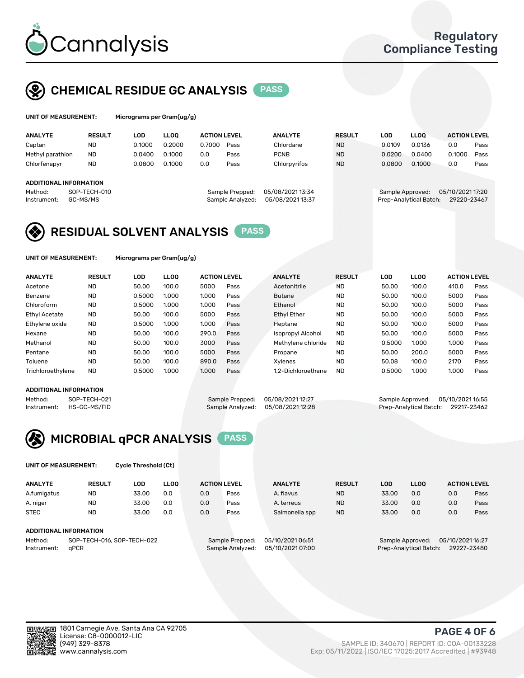

## CHEMICAL RESIDUE GC ANALYSIS PASS

| UNIT OF MEASUREMENT: | Mi |
|----------------------|----|
|                      |    |

crograms per Gram(ug/g)

| <b>ANALYTE</b>                                   | <b>RESULT</b>            | LOD    | <b>LLOO</b> | <b>ACTION LEVEL</b> |                                     | <b>ANALYTE</b>                     | <b>RESULT</b> | LOD              | <b>LLOO</b>            | <b>ACTION LEVEL</b>             |      |
|--------------------------------------------------|--------------------------|--------|-------------|---------------------|-------------------------------------|------------------------------------|---------------|------------------|------------------------|---------------------------------|------|
| Captan                                           | <b>ND</b>                | 0.1000 | 0.2000      | 0.7000              | Pass                                | Chlordane                          | <b>ND</b>     | 0.0109           | 0.0136                 | 0.0                             | Pass |
| Methyl parathion                                 | <b>ND</b>                | 0.0400 | 0.1000      | 0.0                 | Pass                                | <b>PCNB</b>                        | <b>ND</b>     | 0.0200           | 0.0400                 | 0.1000                          | Pass |
| Chlorfenapyr                                     | <b>ND</b>                | 0.0800 | 0.1000      | 0.0                 | Pass                                | Chlorpyrifos                       | <b>ND</b>     | 0.0800           | 0.1000                 | 0.0                             | Pass |
| ADDITIONAL INFORMATION<br>Method:<br>Instrument: | SOP-TECH-010<br>GC-MS/MS |        |             |                     | Sample Prepped:<br>Sample Analyzed: | 05/08/202113:34<br>05/08/202113:37 |               | Sample Approved: | Prep-Analytical Batch: | 05/10/2021 17:20<br>29220-23467 |      |

## RESIDUAL SOLVENT ANALYSIS PASS

UNIT OF MEASUREMENT: Micrograms per Gram(ug/g)

| <b>ANALYTE</b>       | <b>RESULT</b> | LOD    | <b>LLOO</b> | <b>ACTION LEVEL</b> |      | <b>ANALYTE</b>           | <b>RESULT</b> | LOD    | LLOO  | <b>ACTION LEVEL</b> |      |
|----------------------|---------------|--------|-------------|---------------------|------|--------------------------|---------------|--------|-------|---------------------|------|
| Acetone              | <b>ND</b>     | 50.00  | 100.0       | 5000                | Pass | Acetonitrile             | <b>ND</b>     | 50.00  | 100.0 | 410.0               | Pass |
| Benzene              | <b>ND</b>     | 0.5000 | 1.000       | 1.000               | Pass | <b>Butane</b>            | <b>ND</b>     | 50.00  | 100.0 | 5000                | Pass |
| Chloroform           | <b>ND</b>     | 0.5000 | 1.000       | 1.000               | Pass | Ethanol                  | <b>ND</b>     | 50.00  | 100.0 | 5000                | Pass |
| <b>Ethyl Acetate</b> | <b>ND</b>     | 50.00  | 100.0       | 5000                | Pass | <b>Ethyl Ether</b>       | <b>ND</b>     | 50.00  | 100.0 | 5000                | Pass |
| Ethylene oxide       | <b>ND</b>     | 0.5000 | 1.000       | 1.000               | Pass | Heptane                  | <b>ND</b>     | 50.00  | 100.0 | 5000                | Pass |
| Hexane               | <b>ND</b>     | 50.00  | 100.0       | 290.0               | Pass | <b>Isopropyl Alcohol</b> | <b>ND</b>     | 50.00  | 100.0 | 5000                | Pass |
| Methanol             | <b>ND</b>     | 50.00  | 100.0       | 3000                | Pass | Methylene chloride       | <b>ND</b>     | 0.5000 | 1.000 | 1.000               | Pass |
| Pentane              | <b>ND</b>     | 50.00  | 100.0       | 5000                | Pass | Propane                  | <b>ND</b>     | 50.00  | 200.0 | 5000                | Pass |
| Toluene              | <b>ND</b>     | 50.00  | 100.0       | 890.0               | Pass | Xvlenes                  | <b>ND</b>     | 50.08  | 100.0 | 2170                | Pass |
| Trichloroethylene    | <b>ND</b>     | 0.5000 | 1.000       | 1.000               | Pass | 1.2-Dichloroethane       | <b>ND</b>     | 0.5000 | 1.000 | 1.000               | Pass |

#### ADDITIONAL INFORMATION

Method: SOP-TECH-021 Sample Prepped: 05/08/2021 12:27 Sample Approved: 05/10/2021 16:55<br>Sample Analyzed: 05/08/2021 12:28 Prep-Analytical Batch: 29217-23462 Prep-Analytical Batch: 29217-23462



UNIT OF MEASUREMENT: Cycle Threshold (Ct)

| <b>ANALYTE</b> | <b>RESULT</b>                 | LOD   | <b>LLOO</b> |     | <b>ACTION LEVEL</b> | <b>ANALYTE</b>   | <b>RESULT</b> | <b>LOD</b> | <b>LLOO</b>      |                  | <b>ACTION LEVEL</b> |
|----------------|-------------------------------|-------|-------------|-----|---------------------|------------------|---------------|------------|------------------|------------------|---------------------|
| A.fumigatus    | <b>ND</b>                     | 33.00 | 0.0         | 0.0 | Pass                | A. flavus        | <b>ND</b>     | 33.00      | 0.0              | 0.0              | Pass                |
| A. niger       | <b>ND</b>                     | 33.00 | 0.0         | 0.0 | Pass                | A. terreus       | <b>ND</b>     | 33.00      | 0.0              | 0.0              | Pass                |
| <b>STEC</b>    | <b>ND</b>                     | 33.00 | 0.0         | 0.0 | Pass                | Salmonella spp   | <b>ND</b>     | 33.00      | 0.0              | 0.0              | Pass                |
|                | <b>ADDITIONAL INFORMATION</b> |       |             |     |                     |                  |               |            |                  |                  |                     |
| Method:        | SOP-TECH-016, SOP-TECH-022    |       |             |     | Sample Prepped:     | 05/10/2021 06:51 |               |            | Sample Approved: | 05/10/2021 16:27 |                     |

Instrument: qPCR Sample Analyzed: 05/10/2021 07:00 Prep-Analytical Batch: 29227-23480

PAGE 4 OF 6

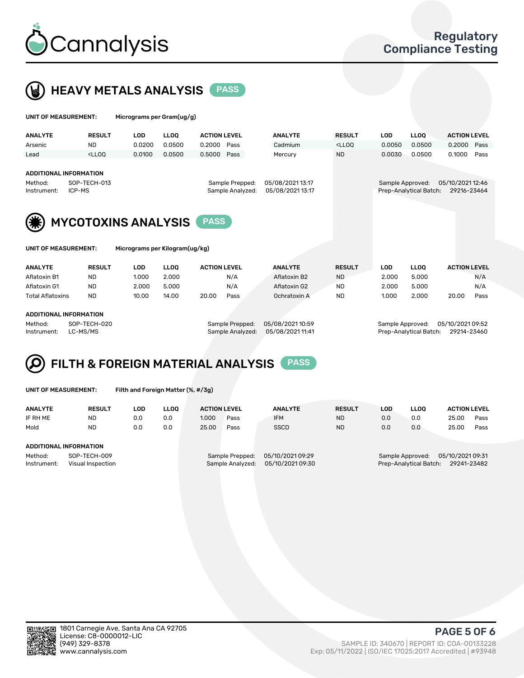



| UNIT OF MEASUREMENT:   |                                                                                                                                                                             | Micrograms per Gram(ug/g)      |             |                     |      |                |                                                                                 |                  |                        |                                 |      |
|------------------------|-----------------------------------------------------------------------------------------------------------------------------------------------------------------------------|--------------------------------|-------------|---------------------|------|----------------|---------------------------------------------------------------------------------|------------------|------------------------|---------------------------------|------|
| <b>ANALYTE</b>         | <b>RESULT</b>                                                                                                                                                               | <b>LOD</b>                     | <b>LLOO</b> | <b>ACTION LEVEL</b> |      | <b>ANALYTE</b> | <b>RESULT</b>                                                                   | <b>LOD</b>       | <b>LLOO</b>            | <b>ACTION LEVEL</b>             |      |
| Arsenic                | <b>ND</b>                                                                                                                                                                   | 0.0200                         | 0.0500      | 0.2000              | Pass | Cadmium        | <lloq< td=""><td>0.0050</td><td>0.0500</td><td>0.2000</td><td>Pass</td></lloq<> | 0.0050           | 0.0500                 | 0.2000                          | Pass |
| Lead                   | <lloo< td=""><td>0.0100</td><td>0.0500</td><td>0.5000</td><td>Pass</td><td>Mercury</td><td><b>ND</b></td><td>0.0030</td><td>0.0500</td><td>0.1000</td><td>Pass</td></lloo<> | 0.0100                         | 0.0500      | 0.5000              | Pass | Mercury        | <b>ND</b>                                                                       | 0.0030           | 0.0500                 | 0.1000                          | Pass |
| Method:<br>Instrument: | ADDITIONAL INFORMATION<br>05/08/2021 13:17<br>SOP-TECH-013<br>Sample Prepped:<br>05/08/2021 13:17<br>Sample Analyzed:<br>ICP-MS                                             |                                |             |                     |      |                |                                                                                 | Sample Approved: | Prep-Analytical Batch: | 05/10/2021 12:46<br>29216-23464 |      |
|                        | <b>MYCOTOXINS ANALYSIS</b>                                                                                                                                                  |                                |             | <b>PASS</b>         |      |                |                                                                                 |                  |                        |                                 |      |
| UNIT OF MEASUREMENT:   |                                                                                                                                                                             | Micrograms per Kilogram(ug/kg) |             |                     |      |                |                                                                                 |                  |                        |                                 |      |

| <b>ANALYTE</b>         | <b>RESULT</b> | LOD   | <b>LLOO</b> | <b>ACTION LEVEL</b> |      | <b>ANALYTE</b> | <b>RESULT</b> | LOD   | <b>LLOO</b> | <b>ACTION LEVEL</b> |      |
|------------------------|---------------|-------|-------------|---------------------|------|----------------|---------------|-------|-------------|---------------------|------|
| Aflatoxin B1           | <b>ND</b>     | 1.000 | 2.000       |                     | N/A  | Aflatoxin B2   | <b>ND</b>     | 2.000 | 5.000       |                     | N/A  |
| Aflatoxin G1           | <b>ND</b>     | 2.000 | 5.000       |                     | N/A  | Aflatoxin G2   | <b>ND</b>     | 2.000 | 5.000       |                     | N/A  |
| Total Aflatoxins       | <b>ND</b>     | 10.00 | 14.00       | 20.00               | Pass | Ochratoxin A   | <b>ND</b>     | 1.000 | 2.000       | 20.00               | Pass |
|                        |               |       |             |                     |      |                |               |       |             |                     |      |
| ADDITIONAL INFORMATION |               |       |             |                     |      |                |               |       |             |                     |      |

#### ADDITIONAL INFORMATION

Method: SOP-TECH-020 Sample Prepped: 05/08/2021 10:59 Sample Approved: 05/10/2021 09:52 Instrument: LC-MS/MS Sample Analyzed: 05/08/2021 11:41 Prep-Analytical Batch: 29214-23460

# FILTH & FOREIGN MATERIAL ANALYSIS PASS

UNIT OF MEASUREMENT: Filth and Foreign Matter (%, #/3g)

| <b>ANALYTE</b>                                              | <b>RESULT</b> | LOD | <b>LLOO</b> | <b>ACTION LEVEL</b>                 |      | <b>ANALYTE</b>                       | <b>RESULT</b> | LOD | <b>LLOO</b>                                                                   | <b>ACTION LEVEL</b> |      |  |
|-------------------------------------------------------------|---------------|-----|-------------|-------------------------------------|------|--------------------------------------|---------------|-----|-------------------------------------------------------------------------------|---------------------|------|--|
| IF RH ME                                                    | <b>ND</b>     | 0.0 | 0.0         | 1.000                               | Pass | <b>IFM</b>                           | <b>ND</b>     | 0.0 | 0.0                                                                           | 25.00               | Pass |  |
| Mold                                                        | <b>ND</b>     | 0.0 | 0.0         | 25.00                               | Pass | <b>SSCD</b>                          | <b>ND</b>     | 0.0 | 0.0                                                                           | 25.00               | Pass |  |
| ADDITIONAL INFORMATION                                      |               |     |             |                                     |      |                                      |               |     |                                                                               |                     |      |  |
| Method:<br>SOP-TECH-009<br>Instrument:<br>Visual Inspection |               |     |             | Sample Prepped:<br>Sample Analyzed: |      | 05/10/2021 09:29<br>05/10/2021 09:30 |               |     | 05/10/2021 09:31<br>Sample Approved:<br>Prep-Analytical Batch:<br>29241-23482 |                     |      |  |



PAGE 5 OF 6